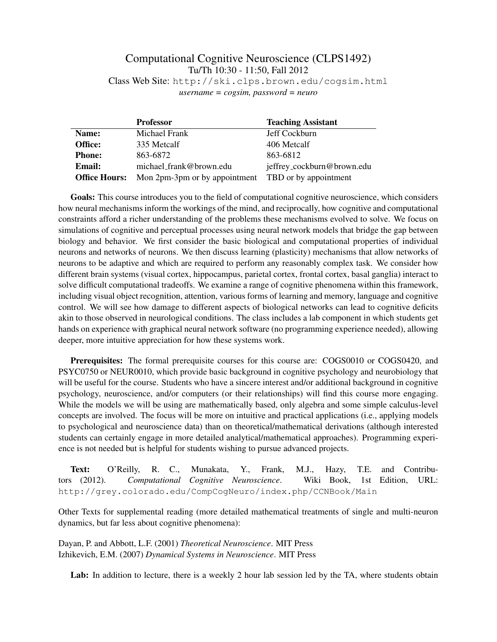## Computational Cognitive Neuroscience (CLPS1492) Tu/Th 10:30 - 11:50, Fall 2012 Class Web Site: http://ski.clps.brown.edu/cogsim.html

*username = cogsim, password = neuro*

|                      | <b>Professor</b>              | <b>Teaching Assistant</b>  |
|----------------------|-------------------------------|----------------------------|
| Name:                | Michael Frank                 | Jeff Cockburn              |
| Office:              | 335 Metcalf                   | 406 Metcalf                |
| <b>Phone:</b>        | 863-6872                      | 863-6812                   |
| Email:               | michael_frank@brown.edu       | jeffrey_cockburn@brown.edu |
| <b>Office Hours:</b> | Mon 2pm-3pm or by appointment | TBD or by appointment      |

Goals: This course introduces you to the field of computational cognitive neuroscience, which considers how neural mechanisms inform the workings of the mind, and reciprocally, how cognitive and computational constraints afford a richer understanding of the problems these mechanisms evolved to solve. We focus on simulations of cognitive and perceptual processes using neural network models that bridge the gap between biology and behavior. We first consider the basic biological and computational properties of individual neurons and networks of neurons. We then discuss learning (plasticity) mechanisms that allow networks of neurons to be adaptive and which are required to perform any reasonably complex task. We consider how different brain systems (visual cortex, hippocampus, parietal cortex, frontal cortex, basal ganglia) interact to solve difficult computational tradeoffs. We examine a range of cognitive phenomena within this framework, including visual object recognition, attention, various forms of learning and memory, language and cognitive control. We will see how damage to different aspects of biological networks can lead to cognitive deficits akin to those observed in neurological conditions. The class includes a lab component in which students get hands on experience with graphical neural network software (no programming experience needed), allowing deeper, more intuitive appreciation for how these systems work.

Prerequisites: The formal prerequisite courses for this course are: COGS0010 or COGS0420, and PSYC0750 or NEUR0010, which provide basic background in cognitive psychology and neurobiology that will be useful for the course. Students who have a sincere interest and/or additional background in cognitive psychology, neuroscience, and/or computers (or their relationships) will find this course more engaging. While the models we will be using are mathematically based, only algebra and some simple calculus-level concepts are involved. The focus will be more on intuitive and practical applications (i.e., applying models to psychological and neuroscience data) than on theoretical/mathematical derivations (although interested students can certainly engage in more detailed analytical/mathematical approaches). Programming experience is not needed but is helpful for students wishing to pursue advanced projects.

Text: O'Reilly, R. C., Munakata, Y., Frank, M.J., Hazy, T.E. and Contributors (2012). *Computational Cognitive Neuroscience*. Wiki Book, 1st Edition, URL: http://grey.colorado.edu/CompCogNeuro/index.php/CCNBook/Main

Other Texts for supplemental reading (more detailed mathematical treatments of single and multi-neuron dynamics, but far less about cognitive phenomena):

Dayan, P. and Abbott, L.F. (2001) *Theoretical Neuroscience*. MIT Press Izhikevich, E.M. (2007) *Dynamical Systems in Neuroscience*. MIT Press

Lab: In addition to lecture, there is a weekly 2 hour lab session led by the TA, where students obtain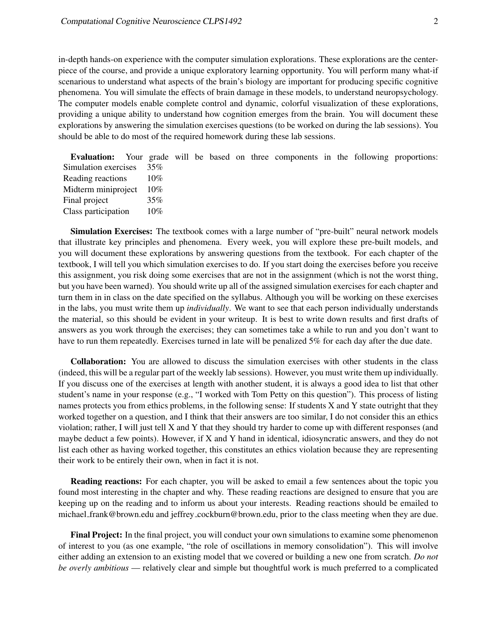in-depth hands-on experience with the computer simulation explorations. These explorations are the centerpiece of the course, and provide a unique exploratory learning opportunity. You will perform many what-if scenarious to understand what aspects of the brain's biology are important for producing specific cognitive phenomena. You will simulate the effects of brain damage in these models, to understand neuropsychology. The computer models enable complete control and dynamic, colorful visualization of these explorations, providing a unique ability to understand how cognition emerges from the brain. You will document these explorations by answering the simulation exercises questions (to be worked on during the lab sessions). You should be able to do most of the required homework during these lab sessions.

| <b>Evaluation:</b> Your grade will be based on three components in the following proportions: |         |  |  |  |  |  |
|-----------------------------------------------------------------------------------------------|---------|--|--|--|--|--|
| Simulation exercises                                                                          | $-35\%$ |  |  |  |  |  |
| Reading reactions                                                                             | $10\%$  |  |  |  |  |  |
| Midterm miniproject 10%                                                                       |         |  |  |  |  |  |
| Final project                                                                                 | 35%     |  |  |  |  |  |
| Class participation                                                                           | $10\%$  |  |  |  |  |  |

Simulation Exercises: The textbook comes with a large number of "pre-built" neural network models that illustrate key principles and phenomena. Every week, you will explore these pre-built models, and you will document these explorations by answering questions from the textbook. For each chapter of the textbook, I will tell you which simulation exercises to do. If you start doing the exercises before you receive this assignment, you risk doing some exercises that are not in the assignment (which is not the worst thing, but you have been warned). You should write up all of the assigned simulation exercises for each chapter and turn them in in class on the date specified on the syllabus. Although you will be working on these exercises in the labs, you must write them up *individually*. We want to see that each person individually understands the material, so this should be evident in your writeup. It is best to write down results and first drafts of answers as you work through the exercises; they can sometimes take a while to run and you don't want to have to run them repeatedly. Exercises turned in late will be penalized 5% for each day after the due date.

Collaboration: You are allowed to discuss the simulation exercises with other students in the class (indeed, this will be a regular part of the weekly lab sessions). However, you must write them up individually. If you discuss one of the exercises at length with another student, it is always a good idea to list that other student's name in your response (e.g., "I worked with Tom Petty on this question"). This process of listing names protects you from ethics problems, in the following sense: If students X and Y state outright that they worked together on a question, and I think that their answers are too similar, I do not consider this an ethics violation; rather, I will just tell X and Y that they should try harder to come up with different responses (and maybe deduct a few points). However, if X and Y hand in identical, idiosyncratic answers, and they do not list each other as having worked together, this constitutes an ethics violation because they are representing their work to be entirely their own, when in fact it is not.

Reading reactions: For each chapter, you will be asked to email a few sentences about the topic you found most interesting in the chapter and why. These reading reactions are designed to ensure that you are keeping up on the reading and to inform us about your interests. Reading reactions should be emailed to michael frank@brown.edu and jeffrey cockburn@brown.edu, prior to the class meeting when they are due.

Final Project: In the final project, you will conduct your own simulations to examine some phenomenon of interest to you (as one example, "the role of oscillations in memory consolidation"). This will involve either adding an extension to an existing model that we covered or building a new one from scratch. *Do not be overly ambitious* — relatively clear and simple but thoughtful work is much preferred to a complicated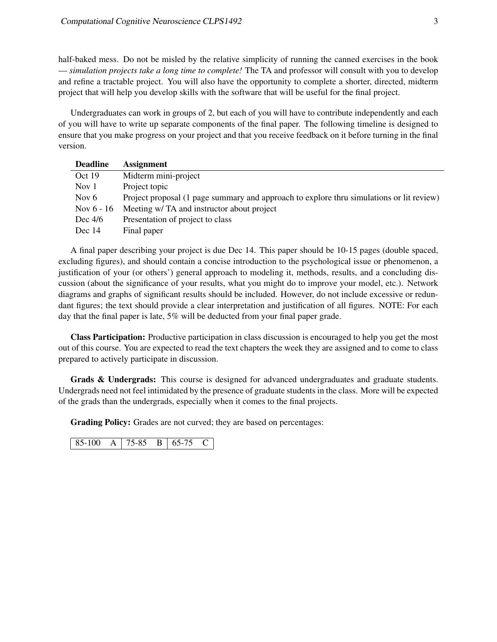half-baked mess. Do not be misled by the relative simplicity of running the canned exercises in the book — *simulation projects take a long time to complete!* The TA and professor will consult with you to develop and refine a tractable project. You will also have the opportunity to complete a shorter, directed, midterm project that will help you develop skills with the software that will be useful for the final project.

Undergraduates can work in groups of 2, but each of you will have to contribute independently and each of you will have to write up separate components of the final paper. The following timeline is designed to ensure that you make progress on your project and that you receive feedback on it before turning in the final version.

| <b>Deadline</b> | <b>Assignment</b>                                                                        |
|-----------------|------------------------------------------------------------------------------------------|
| Oct 19          | Midterm mini-project                                                                     |
| Nov 1           | Project topic                                                                            |
| Nov $6$         | Project proposal (1 page summary and approach to explore thru simulations or lit review) |
| Nov $6 - 16$    | Meeting w/ TA and instructor about project                                               |
| Dec $4/6$       | Presentation of project to class                                                         |
| Dec $14$        | Final paper                                                                              |

A final paper describing your project is due Dec 14. This paper should be 10-15 pages (double spaced, excluding figures), and should contain a concise introduction to the psychological issue or phenomenon, a justification of your (or others') general approach to modeling it, methods, results, and a concluding discussion (about the significance of your results, what you might do to improve your model, etc.). Network diagrams and graphs of significant results should be included. However, do not include excessive or redundant figures; the text should provide a clear interpretation and justification of all figures. NOTE: For each day that the final paper is late, 5% will be deducted from your final paper grade.

Class Participation: Productive participation in class discussion is encouraged to help you get the most out of this course. You are expected to read the text chapters the week they are assigned and to come to class prepared to actively participate in discussion.

Grads & Undergrads: This course is designed for advanced undergraduates and graduate students. Undergrads need not feel intimidated by the presence of graduate students in the class. More will be expected of the grads than the undergrads, especially when it comes to the final projects.

Grading Policy: Grades are not curved; they are based on percentages:

| 85-100 | A 1 75-85 |  | $B \mid 65-75$ |  |
|--------|-----------|--|----------------|--|
|--------|-----------|--|----------------|--|